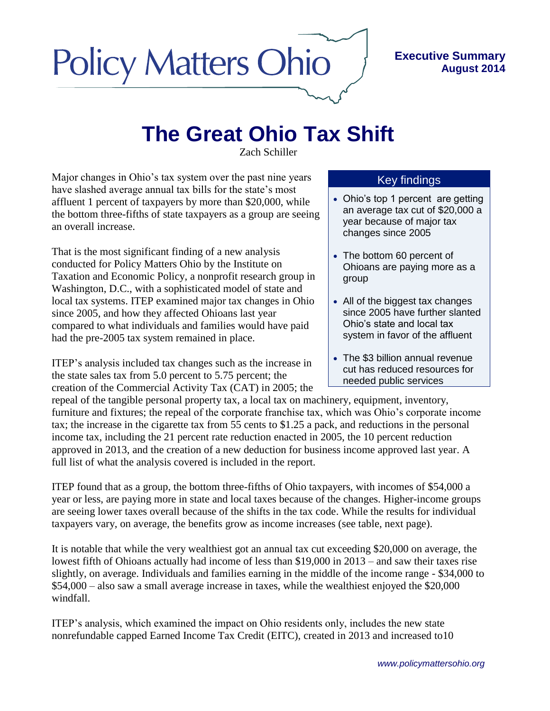## **Policy Matters Ohio**

## **Executive Summary August 2014**

## **The Great Ohio Tax Shift**

Zach Schiller

Major changes in Ohio's tax system over the past nine years have slashed average annual tax bills for the state's most affluent 1 percent of taxpayers by more than \$20,000, while the bottom three-fifths of state taxpayers as a group are seeing an overall increase.

That is the most significant finding of a new analysis conducted for Policy Matters Ohio by the Institute on Taxation and Economic Policy, a nonprofit research group in Washington, D.C., with a sophisticated model of state and local tax systems. ITEP examined major tax changes in Ohio since 2005, and how they affected Ohioans last year compared to what individuals and families would have paid had the pre-2005 tax system remained in place.

ITEP's analysis included tax changes such as the increase in the state sales tax from 5.0 percent to 5.75 percent; the creation of the Commercial Activity Tax (CAT) in 2005; the

## Key findings

- Ohio's top 1 percent are getting an average tax cut of \$20,000 a year because of major tax changes since 2005
- The bottom 60 percent of Ohioans are paying more as a group
- All of the biggest tax changes since 2005 have further slanted Ohio's state and local tax system in favor of the affluent
- The \$3 billion annual revenue cut has reduced resources for needed public services

repeal of the tangible personal property tax, a local tax on machinery, equipment, inventory, furniture and fixtures; the repeal of the corporate franchise tax, which was Ohio's corporate income tax; the increase in the cigarette tax from 55 cents to \$1.25 a pack, and reductions in the personal income tax, including the 21 percent rate reduction enacted in 2005, the 10 percent reduction approved in 2013, and the creation of a new deduction for business income approved last year. A full list of what the analysis covered is included in the report.

ITEP found that as a group, the bottom three-fifths of Ohio taxpayers, with incomes of \$54,000 a year or less, are paying more in state and local taxes because of the changes. Higher-income groups are seeing lower taxes overall because of the shifts in the tax code. While the results for individual taxpayers vary, on average, the benefits grow as income increases (see table, next page).

It is notable that while the very wealthiest got an annual tax cut exceeding \$20,000 on average, the lowest fifth of Ohioans actually had income of less than \$19,000 in 2013 – and saw their taxes rise slightly, on average. Individuals and families earning in the middle of the income range - \$34,000 to \$54,000 – also saw a small average increase in taxes, while the wealthiest enjoyed the \$20,000 windfall.

ITEP's analysis, which examined the impact on Ohio residents only, includes the new state nonrefundable capped Earned Income Tax Credit (EITC), created in 2013 and increased to10